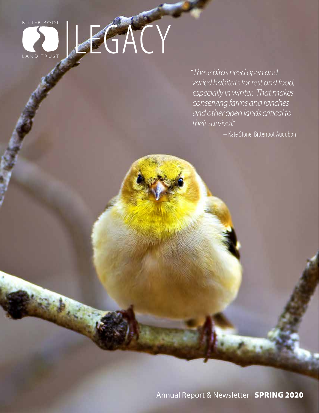# BITTER ROOT ACT

*"These birds need open and varied habitats for rest and food, especially in winter. That makes conserving farms and ranches and other open lands critical to their survival."*

– Kate Stone, Bitterroot Audubon

Annual Report & Newsletter | SPRING 2020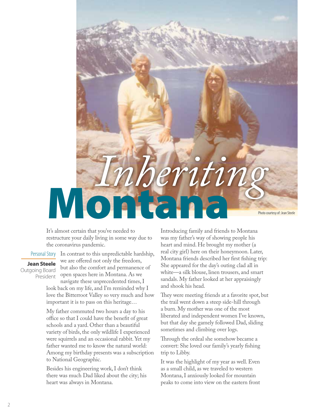

It's almost certain that you've needed to restructure your daily living in some way due to the coronavirus pandemic.

## Personal Story Jean Steele Outgoing Board

President

In contrast to this unpredictable hardship, we are offered not only the freedom, but also the comfort and permanence of open spaces here in Montana. As we navigate these unprecedented times, I

look back on my life, and I'm reminded why I love the Bitterroot Valley so very much and how important it is to pass on this heritage…

My father commuted two hours a day to his office so that I could have the benefit of great schools and a yard. Other than a beautiful variety of birds, the only wildlife I experienced were squirrels and an occasional rabbit. Yet my father wanted me to know the natural world: Among my birthday presents was a subscription to National Geographic.

Besides his engineering work, I don't think there was much Dad liked about the city; his heart was always in Montana.

Introducing family and friends to Montana was my father's way of showing people his heart and mind. He brought my mother (a real city girl) here on their honeymoon. Later, Montana friends described her first fishing trip: She appeared for the day's outing clad all in white—a silk blouse, linen trousers, and smart sandals. My father looked at her appraisingly and shook his head.

They were meeting friends at a favorite spot, but the trail went down a steep side-hill through a burn. My mother was one of the most liberated and independent women I've known, but that day she gamely followed Dad, sliding sometimes and climbing over logs.

Through the ordeal she somehow became a convert: She loved our family's yearly fishing trip to Libby.

It was the highlight of my year as well. Even as a small child, as we traveled to western Montana, I anxiously looked for mountain peaks to come into view on the eastern front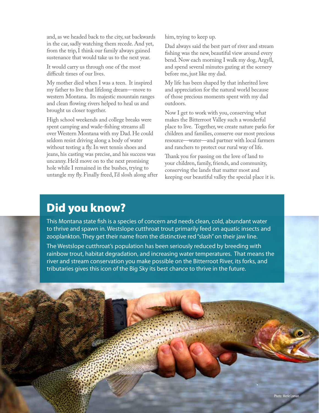and, as we headed back to the city, sat backwards in the car, sadly watching them recede. And yet, from the trip, I think our family always gained sustenance that would take us to the next year.

It would carry us through one of the most difficult times of our lives.

My mother died when I was a teen. It inspired my father to live that lifelong dream—move to western Montana. Its majestic mountain ranges and clean flowing rivers helped to heal us and brought us closer together.

High school weekends and college breaks were spent camping and wade-fishing streams all over Western Montana with my Dad. He could seldom resist driving along a body of water without testing a fly. In wet tennis shoes and jeans, his casting was precise, and his success was uncanny. He'd move on to the next promising hole while I remained in the bushes, trying to untangle my fly. Finally freed, I'd slosh along after him, trying to keep up.

Dad always said the best part of river and stream fishing was the new, beautiful view around every bend. Now each morning I walk my dog, Argyll, and spend several minutes gazing at the scenery before me, just like my dad.

My life has been shaped by that inherited love and appreciation for the natural world because of those precious moments spent with my dad outdoors.

Now I get to work with you, conserving what makes the Bitterroot Valley such a wonderful place to live. Together, we create nature parks for children and families, conserve our most precious resource—water—and partner with local farmers and ranchers to protect our rural way of life.

Thank you for passing on the love of land to your children, family, friends, and community, conserving the lands that matter most and keeping our beautiful valley the special place it is.

# Did you know?

This Montana state fish is a species of concern and needs clean, cold, abundant water to thrive and spawn in. Westslope cutthroat trout primarily feed on aquatic insects and zooplankton. They get their name from the distinctive red "slash" on their jaw line.

The Westslope cutthroat's population has been seriously reduced by breeding with rainbow trout, habitat degradation, and increasing water temperatures. That means the river and stream conservation you make possible on the Bitterroot River, its forks, and tributaries gives this icon of the Big Sky its best chance to thrive in the future.

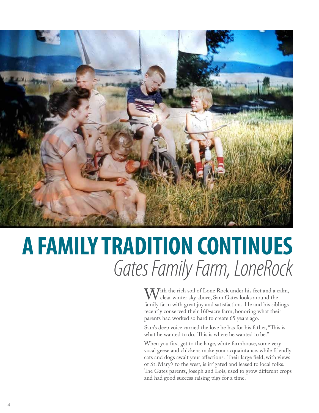

# **A FAMILY TRADITION CONTINUES** *Gates Family Farm, LoneRock*

 $M^{i_{th}}$  the rich soil of Lone Rock under his feet and a calm, clear winter sky above, Sam Gates looks around the family farm with great joy and satisfaction. He and his siblings recently conserved their 160-acre farm, honoring what their parents had worked so hard to create 65 years ago.

Sam's deep voice carried the love he has for his father, "This is what he wanted to do. This is where he wanted to be."

When you first get to the large, white farmhouse, some very vocal geese and chickens make your acquaintance, while friendly cats and dogs await your affections. Their large field, with views of St. Mary's to the west, is irrigated and leased to local folks. The Gates parents, Joseph and Lois, used to grow different crops and had good success raising pigs for a time.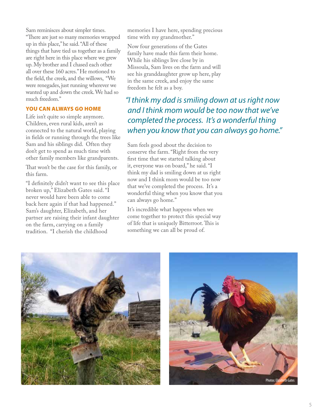Sam reminisces about simpler times.

"There are just so many memories wrapped up in this place," he said. "All of these things that have tied us together as a family are right here in this place where we grew up. My brother and I chased each other all over these 160 acres." He motioned to the field, the creek, and the willows, "We were renegades, just running wherever we wanted up and down the creek. We had so much freedom."

#### YOU CAN ALWAYS GO HOME

Life isn't quite so simple anymore. Children, even rural kids, aren't as connected to the natural world, playing in fields or running through the trees like Sam and his siblings did. Often they don't get to spend as much time with other family members like grandparents.

That won't be the case for this family, or this farm.

"I definitely didn't want to see this place broken up," Elizabeth Gates said. "I never would have been able to come back here again if that had happened." Sam's daughter, Elizabeth, and her partner are raising their infant daughter on the farm, carrying on a family tradition. "I cherish the childhood

memories I have here, spending precious time with my grandmother."

Now four generations of the Gates family have made this farm their home. While his siblings live close by in Missoula, Sam lives on the farm and will see his granddaughter grow up here, play in the same creek, and enjoy the same freedom he felt as a boy.

*"I think my dad is smiling down at us right now and I think mom would be too now that we've completed the process. It's a wonderful thing when you know that you can always go home."*

Sam feels good about the decision to conserve the farm. "Right from the very first time that we started talking about it, everyone was on board," he said. "I think my dad is smiling down at us right now and I think mom would be too now that we've completed the process. It's a wonderful thing when you know that you can always go home."

It's incredible what happens when we come together to protect this special way of life that is uniquely Bitterroot. This is something we can all be proud of.



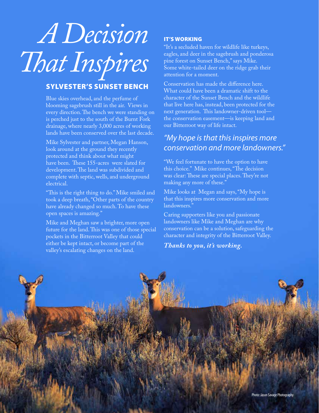# *A Decision That Inspires*

# SYLVESTER'S SUNSET BENCH

Blue skies overhead, and the perfume of blooming sagebrush still in the air. Views in every direction. The bench we were standing on is perched just to the south of the Burnt Fork drainage, where nearly 3,000 acres of working lands have been conserved over the last decade.

Mike Sylvester and partner, Megan Hanson, look around at the ground they recently protected and think about what might have been. These 155-acres were slated for development. The land was subdivided and complete with septic, wells, and underground electrical.

"This is the right thing to do." Mike smiled and took a deep breath, "Other parts of the country have already changed so much. To have these open spaces is amazing."

Mike and Meghan saw a brighter, more open future for the land. This was one of those special pockets in the Bitterroot Valley that could either be kept intact, or become part of the valley's escalating changes on the land.

# IT'S WORKING

"It's a secluded haven for wildlife like turkeys, eagles, and deer in the sagebrush and ponderosa pine forest on Sunset Bench," says Mike. Some white-tailed deer on the ridge grab their attention for a moment.

Conservation has made the difference here. What could have been a dramatic shift to the character of the Sunset Bench and the wildlife that live here has, instead, been protected for the next generation. This landowner-driven tool the conservation easement—is keeping land and our Bitterroot way of life intact.

# *"My hope is that this inspires more conservation and more landowners."*

"We feel fortunate to have the option to have this choice." Mike continues, "The decision was clear: These are special places. They're not making any more of these."

Mike looks at Megan and says, "My hope is that this inspires more conservation and more landowners."

Caring supporters like you and passionate landowners like Mike and Meghan are why conservation can be a solution, safeguarding the character and integrity of the Bitterroot Valley.

*Thanks to you, it's working.*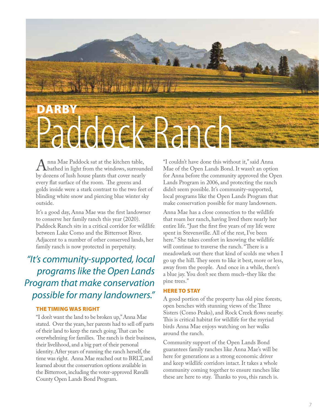

A nna Mae Paddock sat at the kitchen table,<br>hy dozens of lush house plants that cover nearly by dozens of lush house plants that cover nearly every flat surface of the room. The greens and golds inside were a stark contrast to the two feet of blinding white snow and piercing blue winter sky outside.

It's a good day, Anna Mae was the first landowner to conserve her family ranch this year (2020). Paddock Ranch sits in a critical corridor for wildlife between Lake Como and the Bitterroot River. Adjacent to a number of other conserved lands, her family ranch is now protected in perpetuity.

# *"It's community-supported, local programs like the Open Lands Program that make conservation possible for many landowners."*

#### THE TIMING WAS RIGHT

"I don't want the land to be broken up," Anna Mae stated. Over the years, her parents had to sell off parts of their land to keep the ranch going. That can be overwhelming for families. The ranch is their business, their livelihood, and a big part of their personal identity. After years of running the ranch herself, the time was right. Anna Mae reached out to BRLT, and learned about the conservation options available in the Bitterroot, including the voter-approved Ravalli County Open Lands Bond Program.

"I couldn't have done this without it," said Anna Mae of the Open Lands Bond. It wasn't an option for Anna before the community approved the Open Lands Program in 2006, and protecting the ranch didn't seem possible. It's community-supported, local programs like the Open Lands Program that make conservation possible for many landowners.

Anna Mae has a close connection to the wildlife that roam her ranch, having lived there nearly her entire life. "Just the first five years of my life were spent in Stevensville. All of the rest, I've been here." She takes comfort in knowing the wildlife will continue to traverse the ranch. "There is a meadowlark out there that kind of scolds me when I go up the hill. They seem to like it best, more or less, away from the people. And once in a while, there's a blue jay. You don't see them much–they like the pine trees."

#### HERE TO STAY

A good portion of the property has old pine forests, open benches with stunning views of the Three Sisters (Como Peaks), and Rock Creek flows nearby. This is critical habitat for wildlife for the myriad birds Anna Mae enjoys watching on her walks around the ranch.

Community support of the Open Lands Bond guarantees family ranches like Anna Mae's will be here for generations as a strong economic driver and keep wildlife corridors intact. It takes a whole community coming together to ensure ranches like these are here to stay. Thanks to you, this ranch is.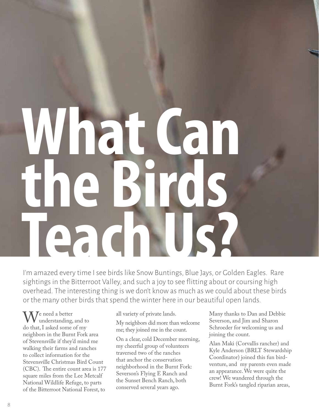# **What Can the Birds Teach Us?**

I'm amazed every time I see birds like Snow Buntings, Blue Jays, or Golden Eagles. Rare sightings in the Bitterroot Valley, and such a joy to see flitting about or coursing high overhead. The interesting thing is we don't know as much as we could about these birds or the many other birds that spend the winter here in our beautiful open lands.

 $\mathbf{M}$ <sup>e</sup> need a better **V** understanding, and to do that, I asked some of my neighbors in the Burnt Fork area of Stevensville if they'd mind me walking their farms and ranches to collect information for the Stevensville Christmas Bird Count (CBC). The entire count area is 177 square miles from the Lee Metcalf National Wildlife Refuge, to parts of the Bitterroot National Forest, to

all variety of private lands. My neighbors did more than welcome me; they joined me in the count.

On a clear, cold December morning, my cheerful group of volunteers traversed two of the ranches that anchor the conservation neighborhood in the Burnt Fork: Severson's Flying E Ranch and the Sunset Bench Ranch, both conserved several years ago.

Many thanks to Dan and Debbie Severson, and Jim and Sharon Schroeder for welcoming us and joining the count.

Alan Maki (Corvallis rancher) and Kyle Anderson (BRLT Stewardship Coordinator) joined this fun birdventure, and my parents even made an appearance. We were quite the crew! We wandered through the Burnt Fork's tangled riparian areas,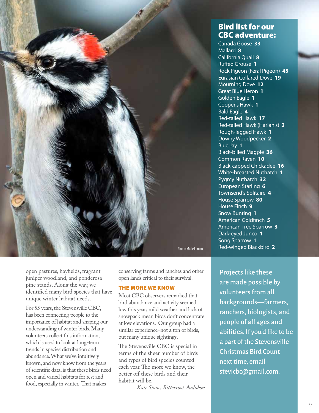

open pastures, hayfields, fragrant juniper woodland, and ponderosa pine stands. Along the way, we identified many bird species that have unique winter habitat needs.

For 55 years, the Stevensville CBC, has been connecting people to the importance of habitat and shaping our understanding of winter birds. Many volunteers collect this information, which is used to look at long-term trends in species' distribution and abundance. What we've intuitively known, and now know from the years of scientific data, is that these birds need open and varied habitats for rest and food, especially in winter. That makes

conserving farms and ranches and other open lands critical to their survival.

#### THE MORE WE KNOW

Most CBC observers remarked that bird abundance and activity seemed low this year; mild weather and lack of snowpack mean birds don't concentrate at low elevations. Our group had a similar experience–not a ton of birds, but many unique sightings.

The Stevensville CBC is special in terms of the sheer number of birds and types of bird species counted each year. The more we know, the better off these birds and their habitat will be.

*– Kate Stone, Bitterroot Audubon* 

# Bird list for our CBC adventure:

Canada Goose **33** Mallard **8** California Quail **8** Ruffed Grouse **1** Rock Pigeon (Feral Pigeon) **45** Eurasian Collared-Dove **19** Mourning Dove **12** Great Blue Heron **1** Golden Eagle **1** Cooper's Hawk **1** Bald Eagle **4** Red-tailed Hawk **17** Red-tailed Hawk (Harlan's) **2** Rough-legged Hawk **1** Downy Woodpecker **2** Blue Jay **1** Black-billed Magpie **36** Common Raven **10** Black-capped Chickadee **16** White-breasted Nuthatch **1** Pygmy Nuthatch **32** European Starling **6** Townsend's Solitaire **4** House Sparrow **80** House Finch **9** Snow Bunting **1** American Goldfinch **5** American Tree Sparrow **3** Dark-eyed Junco **1** Song Sparrow **1** Red-winged Blackbird **2**

Projects like these are made possible by volunteers from all backgrounds—farmers, ranchers, biologists, and people of all ages and abilities. If you'd like to be a part of the Stevensville Christmas Bird Count next time, email stevicbc@gmail.com.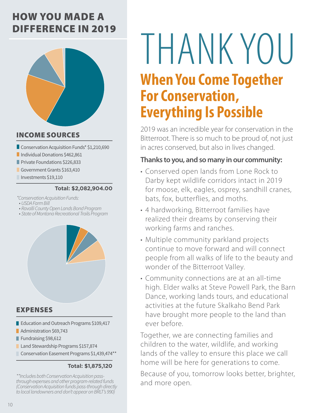# HOW YOU MADE A DIFFERENCE IN 2019



# INCOME SOURCES

- Conservation Acquisition Funds\* \$1,210,690
- **Individual Donations \$462,861**
- **Private Foundations \$226,833**
- Government Grants \$163,410
- Investments \$19,110

### **Total: \$2,082,904.00**

*\*Conservation Acquisition Funds:* 

- *• USDA Farm Bill*
- *• Ravalli County Open Lands Bond Program*
- *• State of Montana Recreational Trails Program*



- EXPENSES
- Education and Outreach Programs \$109,417
- **Administration \$69,743**
- Fundraising \$98,612
- Land Stewardship Programs \$157,874
- Conservation Easement Programs \$1,439,474\*\*

## **Total: \$1,875,120**

*\*\*Includes both Conservation Acquisition passthrough expenses and other program-related funds (Conservation Acquisition funds pass-through directly to local landowners and don't appear on BRLT's 990)*

# THANK YOU

# **When You Come Together For Conservation, Everything Is Possible**

2019 was an incredible year for conservation in the Bitterroot. There is so much to be proud of, not just in acres conserved, but also in lives changed.

# **Thanks to you, and so many in our community:**

- Conserved open lands from Lone Rock to Darby kept wildlife corridors intact in 2019 for moose, elk, eagles, osprey, sandhill cranes, bats, fox, butterflies, and moths.
- 4 hardworking, Bitterroot families have realized their dreams by conserving their working farms and ranches.
- Multiple community parkland projects continue to move forward and will connect people from all walks of life to the beauty and wonder of the Bitterroot Valley.
- Community connections are at an all-time high. Elder walks at Steve Powell Park, the Barn Dance, working lands tours, and educational activities at the future Skalkaho Bend Park have brought more people to the land than ever before.

Together, we are connecting families and children to the water, wildlife, and working lands of the valley to ensure this place we call home will be here for generations to come.

Because of you, tomorrow looks better, brighter, and more open.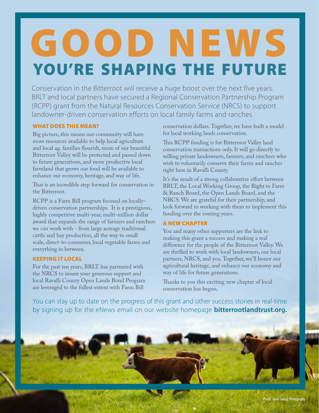# YOU'RE SHAPING THE FUTURE GOOD NEWS

Conservation in the Bitterroot will receive a huge boost over the next five years. BRLT and local partners have secured a Regional Conservation Partnership Program (RCPP) grant from the Natural Resources Conservation Service (NRCS) to support landowner-driven conservation efforts on local family farms and ranches.

### WHAT DOES THIS MEAN?

Big picture, this means our community will have more resources available to help local agriculture and local ag. families flourish, more of our beautiful Bitterroot Valley will be protected and passed down to future generations, and more productive local farmland that grows our food will be available to enhance our economy, heritage, and way of life.

That is an incredible step forward for conservation in the Bitterroot.

RCPP is a Farm Bill program focused on locallydriven conservation partnerships. It is a prestigious, highly competitive multi-year, multi-million dollar award that expands the range of farmers and ranchers we can work with - from large acreage traditional cattle and hay production, all the way to small scale, direct-to-consumer, local vegetable farms and everything in between.

### KEEPING IT LOCAL

For the past ten years, BRLT has partnered with the NRCS to insure your generous support and local Ravalli County Open Lands Bond Program are leveraged to the fullest extent with Farm Bill

conservation dollars. Together, we have built a model for local working lands conservation.

This RCPP funding is for Bitterroot Valley land conservation transactions only. It will go directly to willing private landowners, farmers, and ranchers who wish to voluntarily conserve their farms and ranches right here in Ravalli County.

It's the result of a strong collaborative effort between BRLT, the Local Working Group, the Right to Farm & Ranch Board, the Open Lands Board, and the NRCS. We are grateful for their partnership, and look forward to working with them to implement this funding over the coming years.

### A NEW CHAPTER

You and many other supporters are the link to making this grant a success and making a real difference for the people of the Bitterroot Valley. We are thrilled to work with local landowners, our local partners, NRCS, and you. Together, we'll honor our agricultural heritage, and enhance our economy and way of life for future generations.

Thanks to you this exciting new chapter of local conservation has begun.

You can stay up to date on the progress of this grant and other success stories in real-time by signing up for the eNews email on our website homepage **bitterrootlandtrust.org.**